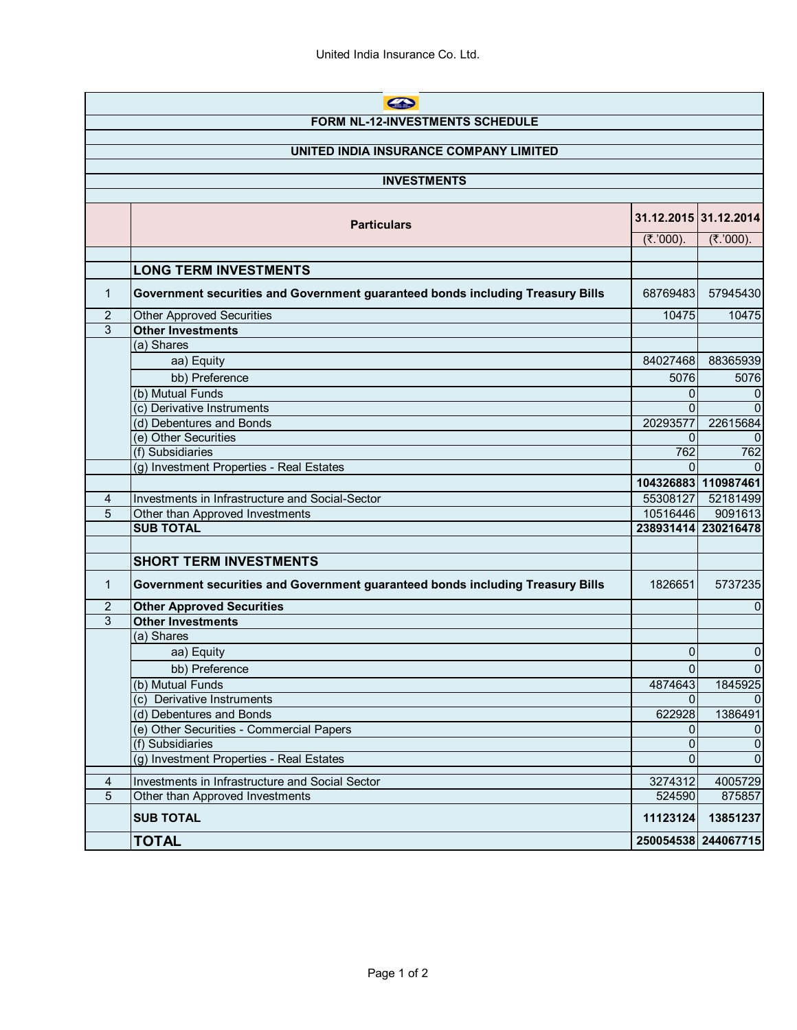| A                                      |                                                                                    |                      |                         |  |  |
|----------------------------------------|------------------------------------------------------------------------------------|----------------------|-------------------------|--|--|
| <b>FORM NL-12-INVESTMENTS SCHEDULE</b> |                                                                                    |                      |                         |  |  |
|                                        |                                                                                    |                      |                         |  |  |
| UNITED INDIA INSURANCE COMPANY LIMITED |                                                                                    |                      |                         |  |  |
| <b>INVESTMENTS</b>                     |                                                                                    |                      |                         |  |  |
|                                        |                                                                                    |                      |                         |  |  |
|                                        |                                                                                    |                      | 31.12.2015 31.12.2014   |  |  |
|                                        | <b>Particulars</b>                                                                 |                      |                         |  |  |
|                                        |                                                                                    | $(₹.000)$ .          | $(₹.000)$ .             |  |  |
|                                        |                                                                                    |                      |                         |  |  |
|                                        | <b>LONG TERM INVESTMENTS</b>                                                       |                      |                         |  |  |
| 1                                      | Government securities and Government guaranteed bonds including Treasury Bills     | 68769483             | 57945430                |  |  |
| 2                                      | <b>Other Approved Securities</b>                                                   | 10475                | 10475                   |  |  |
| 3                                      | <b>Other Investments</b>                                                           |                      |                         |  |  |
|                                        | (a) Shares                                                                         |                      |                         |  |  |
|                                        | aa) Equity                                                                         | 84027468             | 88365939                |  |  |
|                                        | bb) Preference                                                                     | 5076                 | 5076                    |  |  |
|                                        | (b) Mutual Funds                                                                   | 0                    | 0                       |  |  |
|                                        | (c) Derivative Instruments                                                         | $\Omega$             | $\Omega$                |  |  |
|                                        | (d) Debentures and Bonds                                                           | 20293577             | 22615684                |  |  |
|                                        | (e) Other Securities                                                               | 0                    |                         |  |  |
|                                        | (f) Subsidiaries                                                                   | 762<br>$\Omega$      | 762                     |  |  |
|                                        | (g) Investment Properties - Real Estates                                           |                      |                         |  |  |
|                                        |                                                                                    |                      | 104326883 110987461     |  |  |
| 4<br>5                                 | Investments in Infrastructure and Social-Sector<br>Other than Approved Investments | 55308127<br>10516446 | 52181499<br>9091613     |  |  |
|                                        | <b>SUB TOTAL</b>                                                                   |                      | 238931414 230216478     |  |  |
|                                        |                                                                                    |                      |                         |  |  |
|                                        | <b>SHORT TERM INVESTMENTS</b>                                                      |                      |                         |  |  |
|                                        |                                                                                    |                      |                         |  |  |
| $\mathbf{1}$                           | Government securities and Government guaranteed bonds including Treasury Bills     | 1826651              | 5737235                 |  |  |
| 2                                      | <b>Other Approved Securities</b>                                                   |                      | $\Omega$                |  |  |
| 3                                      | <b>Other Investments</b>                                                           |                      |                         |  |  |
|                                        | (a) Shares                                                                         |                      |                         |  |  |
|                                        | aa) Equity                                                                         | 0                    | 0                       |  |  |
|                                        | bb) Preference                                                                     | $\overline{0}$       | $\overline{0}$          |  |  |
|                                        | (b) Mutual Funds                                                                   | 4874643              | 1845925                 |  |  |
|                                        | (c) Derivative Instruments                                                         | 0                    |                         |  |  |
|                                        | (d) Debentures and Bonds                                                           | 622928               | 1386491                 |  |  |
|                                        | (e) Other Securities - Commercial Papers                                           | 0                    | 0                       |  |  |
|                                        | (f) Subsidiaries<br>(g) Investment Properties - Real Estates                       | 0                    | $\mathbf 0$<br>$\Omega$ |  |  |
|                                        |                                                                                    | 0                    |                         |  |  |
| $\overline{4}$                         | Investments in Infrastructure and Social Sector                                    | 3274312              | 4005729                 |  |  |
| 5                                      | Other than Approved Investments                                                    | 524590               | 875857                  |  |  |
|                                        | <b>SUB TOTAL</b>                                                                   | 11123124             | 13851237                |  |  |
|                                        | <b>TOTAL</b>                                                                       |                      | 250054538 244067715     |  |  |